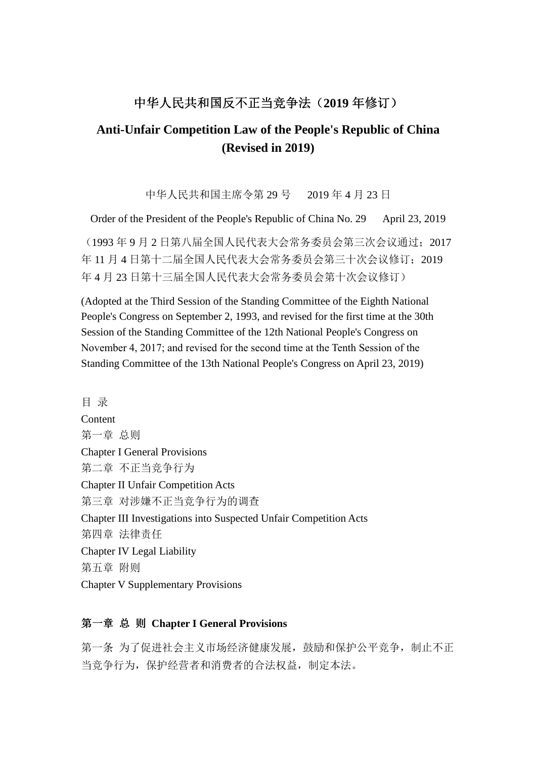## 中华人民共和国反不正当竞争法( 中华人民共和国反不正当竞争法(**2019** 年修订)

# **Anti-Unfair Competition Law of the People's Republic of China (Revised in 2019)**

中华人民共和国主席令第 29 号 2019 年 4 月 23 日

Order of the President of the People's Republic of China No. 29 April 23, 2019

(1993 年 9 月 2 日第八届全国人民代表大会常务委员会第三次会议通过;2017 年 11 月 4 日第十二届全国人民代表大会常务委员会第三十次会议修订;2019 年 4 月 23 日第十三届全国人民代表大会常务委员会第十次会议修订)

(Adopted at the Third Session of the Standing Committee of the Eighth National People's Congress on September 2, 1993, and revised for the first time at the 30th Session of the Standing Committee of the 12th National People's Congress on November 4, 2017; and revised for the second time at the Tenth Session of the Standing Committee of the 13th National People's Congress on April 23, 2019)

目 录 **Content** 第一章 总则 Chapter I General Provisions 第二章 不正当竞争行为 Chapter II Unfair Competition Acts 第三章 对涉嫌不正当竞争行为的调查 Chapter III Investigations into Suspected Unfair Competition Acts 第四章 法律责任 Chapter IV Legal Liability 第五章 附则 Chapter V Supplementary Provisions

#### 第一章 总 则 **Chapter I General Provisions**

第一条 为了促进社会主义市场经济健康发展,鼓励和保护公平竞争,制止不正 当竞争行为,保护经营者和消费者的合法权益,制定本法。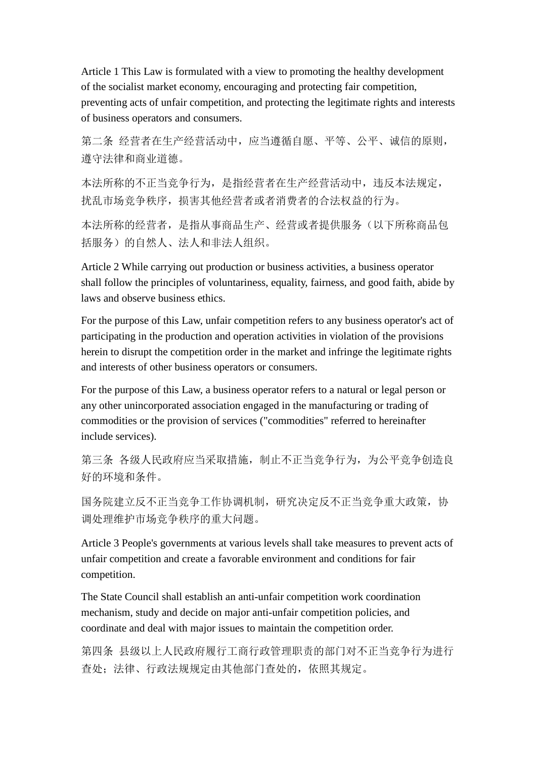Article 1 This Law is formulated with a view to promoting the healthy development of the socialist market economy, encouraging and protecting fair competition, preventing acts of unfair competition, and protecting the legitimate rights and interests of business operators and consumers.

第二条 经营者在生产经营活动中,应当遵循自愿、平等、公平、诚信的原则, 遵守法律和商业道德。

本法所称的不正当竞争行为, 是指经营者在生产经营活动中, 违反本法规定, 扰乱市场竞争秩序,损害其他经营者或者消费者的合法权益的行为。

本法所称的经营者,是指从事商品生产、经营或者提供服务(以下所称商品包 括服务)的自然人、法人和非法人组织。

Article 2 While carrying out production or business activities, a business operator shall follow the principles of voluntariness, equality, fairness, and good faith, abide by laws and observe business ethics.

For the purpose of this Law, unfair competition refers to any business operator's act of participating in the production and operation activities in violation of the provisions herein to disrupt the competition order in the market and infringe the legitimate rights and interests of other business operators or consumers.

For the purpose of this Law, a business operator refers to a natural or legal person or any other unincorporated association engaged in the manufacturing or trading of commodities or the provision of services ("commodities" referred to hereinafter include services).

第三条 各级人民政府应当采取措施,制止不正当竞争行为,为公平竞争创造良 好的环境和条件。

国务院建立反不正当竞争工作协调机制,研究决定反不正当竞争重大政策,协 调处理维护市场竞争秩序的重大问题。

Article 3 People's governments at various levels shall take measures to prevent acts of unfair competition and create a favorable environment and conditions for fair competition.

The State Council shall establish an anti-unfair competition work coordination mechanism, study and decide on major anti-unfair competition policies, and coordinate and deal with major issues to maintain the competition order.

第四条 县级以上人民政府履行工商行政管理职责的部门对不正当竞争行为进行 查处;法律、行政法规规定由其他部门查处的,依照其规定。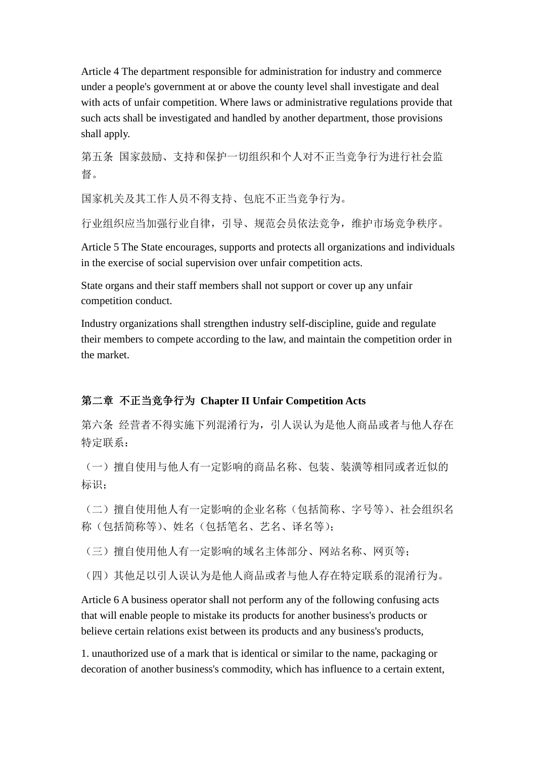Article 4 The department responsible for administration for industry and commerce under a people's government at or above the county level shall investigate and deal with acts of unfair competition. Where laws or administrative regulations provide that such acts shall be investigated and handled by another department, those provisions shall apply.

第五条 国家鼓励、支持和保护一切组织和个人对不正当竞争行为进行社会监 督。

国家机关及其工作人员不得支持、包庇不正当竞争行为。

行业组织应当加强行业自律,引导、规范会员依法竞争,维护市场竞争秩序。

Article 5 The State encourages, supports and protects all organizations and individuals in the exercise of social supervision over unfair competition acts.

State organs and their staff members shall not support or cover up any unfair competition conduct.

Industry organizations shall strengthen industry self-discipline, guide and regulate their members to compete according to the law, and maintain the competition order in the market.

### 第二章 不正当竞争行为 **Chapter II Unfair Competition Acts**

第六条 经营者不得实施下列混淆行为,引人误认为是他人商品或者与他人存在 特定联系:

(一)擅自使用与他人有一定影响的商品名称、包装、装潢等相同或者近似的 标识;

(二)擅自使用他人有一定影响的企业名称(包括简称、字号等)、社会组织名 称(包括简称等)、姓名(包括笔名、艺名、译名等);

(三)擅自使用他人有一定影响的域名主体部分、网站名称、网页等;

(四)其他足以引人误认为是他人商品或者与他人存在特定联系的混淆行为。

Article 6 A business operator shall not perform any of the following confusing acts that will enable people to mistake its products for another business's products or believe certain relations exist between its products and any business's products,

1. unauthorized use of a mark that is identical or similar to the name, packaging or decoration of another business's commodity, which has influence to a certain extent,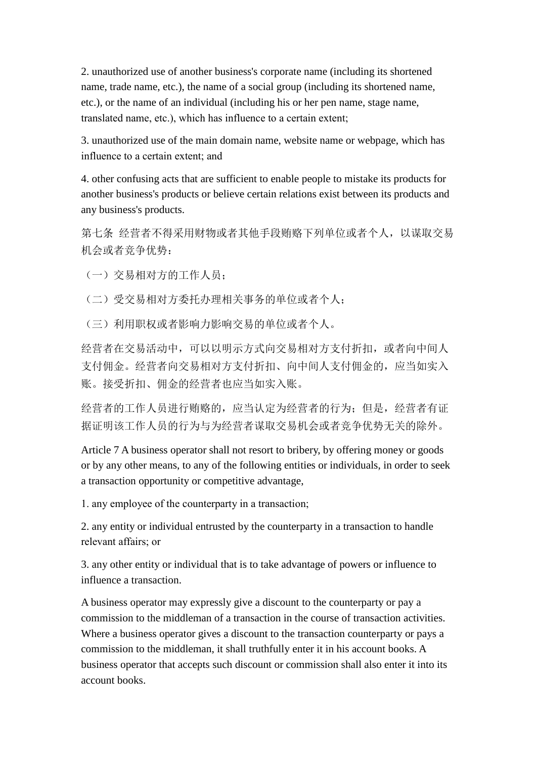2. unauthorized use of another business's corporate name (including its shortened name, trade name, etc.), the name of a social group (including its shortened name, etc.), or the name of an individual (including his or her pen name, stage name, translated name, etc.), which has influence to a certain extent;

3. unauthorized use of the main domain name, website name or webpage, which has influence to a certain extent; and

4. other confusing acts that are sufficient to enable people to mistake its products for another business's products or believe certain relations exist between its products and any business's products.

第七条 经营者不得采用财物或者其他手段贿赂下列单位或者个人,以谋取交易 机会或者竞争优势:

(一)交易相对方的工作人员;

(二)受交易相对方委托办理相关事务的单位或者个人;

(三)利用职权或者影响力影响交易的单位或者个人。

经营者在交易活动中,可以以明示方式向交易相对方支付折扣,或者向中间人 支付佣金。经营者向交易相对方支付折扣、向中间人支付佣金的,应当如实入 账。接受折扣、佣金的经营者也应当如实入账。

经营者的工作人员进行贿赂的,应当认定为经营者的行为;但是,经营者有证 据证明该工作人员的行为与为经营者谋取交易机会或者竞争优势无关的除外。

Article 7 A business operator shall not resort to bribery, by offering money or goods or by any other means, to any of the following entities or individuals, in order to seek a transaction opportunity or competitive advantage,

1. any employee of the counterparty in a transaction;

2. any entity or individual entrusted by the counterparty in a transaction to handle relevant affairs; or

3. any other entity or individual that is to take advantage of powers or influence to influence a transaction.

A business operator may expressly give a discount to the counterparty or pay a commission to the middleman of a transaction in the course of transaction activities. Where a business operator gives a discount to the transaction counterparty or pays a commission to the middleman, it shall truthfully enter it in his account books. A business operator that accepts such discount or commission shall also enter it into its account books.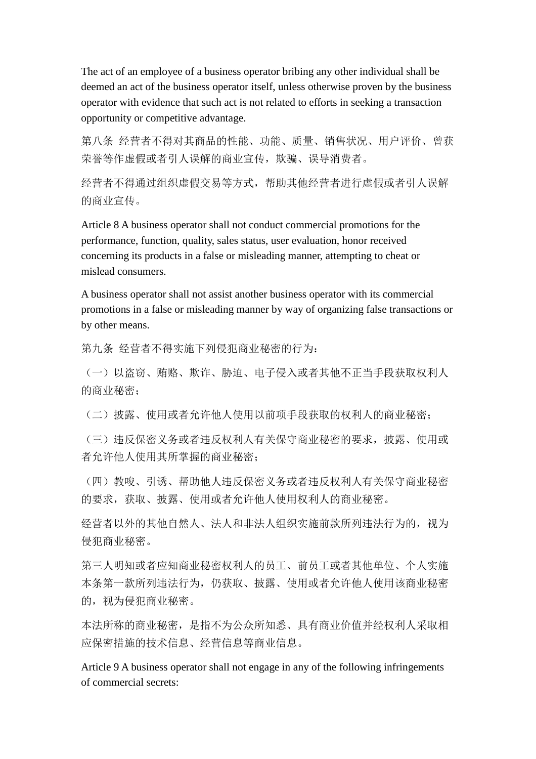The act of an employee of a business operator bribing any other individual shall be deemed an act of the business operator itself, unless otherwise proven by the business operator with evidence that such act is not related to efforts in seeking a transaction opportunity or competitive advantage.

第八条 经营者不得对其商品的性能、功能、质量、销售状况、用户评价、曾获 荣誉等作虚假或者引人误解的商业宣传,欺骗、误导消费者。

经营者不得通过组织虚假交易等方式,帮助其他经营者进行虚假或者引人误解 的商业宣传。

Article 8 A business operator shall not conduct commercial promotions for the performance, function, quality, sales status, user evaluation, honor received concerning its products in a false or misleading manner, attempting to cheat or mislead consumers.

A business operator shall not assist another business operator with its commercial promotions in a false or misleading manner by way of organizing false transactions or by other means.

第九条 经营者不得实施下列侵犯商业秘密的行为:

(一)以盗窃、贿赂、欺诈、胁迫、电子侵入或者其他不正当手段获取权利人 的商业秘密;

(二)披露、使用或者允许他人使用以前项手段获取的权利人的商业秘密;

(三)违反保密义务或者违反权利人有关保守商业秘密的要求,披露、使用或 者允许他人使用其所掌握的商业秘密;

(四)教唆、引诱、帮助他人违反保密义务或者违反权利人有关保守商业秘密 的要求,获取、披露、使用或者允许他人使用权利人的商业秘密。

经营者以外的其他自然人、法人和非法人组织实施前款所列违法行为的,视为 侵犯商业秘密。

第三人明知或者应知商业秘密权利人的员工、前员工或者其他单位、个人实施 本条第一款所列违法行为,仍获取、披露、使用或者允许他人使用该商业秘密 的,视为侵犯商业秘密。

本法所称的商业秘密,是指不为公众所知悉、具有商业价值并经权利人采取相 应保密措施的技术信息、经营信息等商业信息。

Article 9 A business operator shall not engage in any of the following infringements of commercial secrets: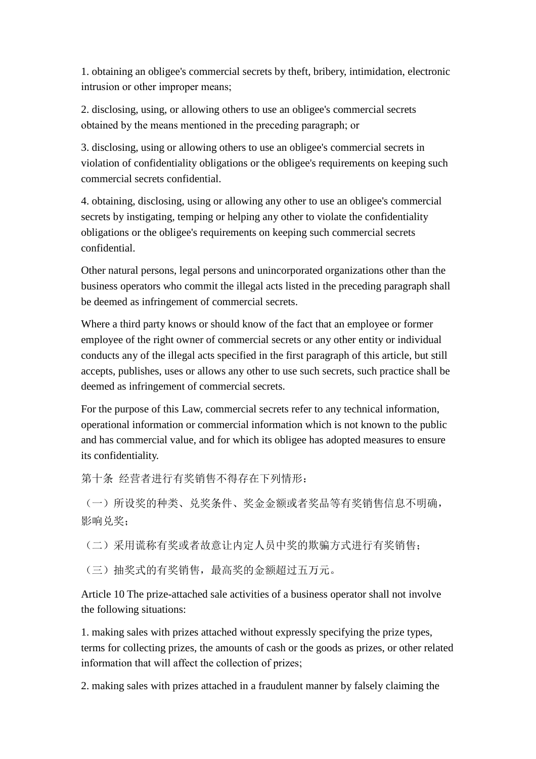1. obtaining an obligee's commercial secrets by theft, bribery, intimidation, electronic intrusion or other improper means;

2. disclosing, using, or allowing others to use an obligee's commercial secrets obtained by the means mentioned in the preceding paragraph; or

3. disclosing, using or allowing others to use an obligee's commercial secrets in violation of confidentiality obligations or the obligee's requirements on keeping such commercial secrets confidential.

4. obtaining, disclosing, using or allowing any other to use an obligee's commercial secrets by instigating, temping or helping any other to violate the confidentiality obligations or the obligee's requirements on keeping such commercial secrets confidential.

Other natural persons, legal persons and unincorporated organizations other than the business operators who commit the illegal acts listed in the preceding paragraph shall be deemed as infringement of commercial secrets.

Where a third party knows or should know of the fact that an employee or former employee of the right owner of commercial secrets or any other entity or individual conducts any of the illegal acts specified in the first paragraph of this article, but still accepts, publishes, uses or allows any other to use such secrets, such practice shall be deemed as infringement of commercial secrets.

For the purpose of this Law, commercial secrets refer to any technical information, operational information or commercial information which is not known to the public and has commercial value, and for which its obligee has adopted measures to ensure its confidentiality.

第十条 经营者进行有奖销售不得存在下列情形:

(一)所设奖的种类、兑奖条件、奖金金额或者奖品等有奖销售信息不明确, 影响 兑奖:

(二)采用谎称有奖或者故意让内定人员中奖的欺骗方式进行有奖销售;

(三)抽奖式的有奖销售,最高奖的金额超过五万元。

Article 10 The prize-attached sale activities of a business operator shall not involve the following situations:

1. making sales with prizes attached without expressly specifying the prize types, terms for collecting prizes, the amounts of cash or the goods as prizes, or other related information that will affect the collection of prizes;

2. making sales with prizes attached in a fraudulent manner by falsely claiming the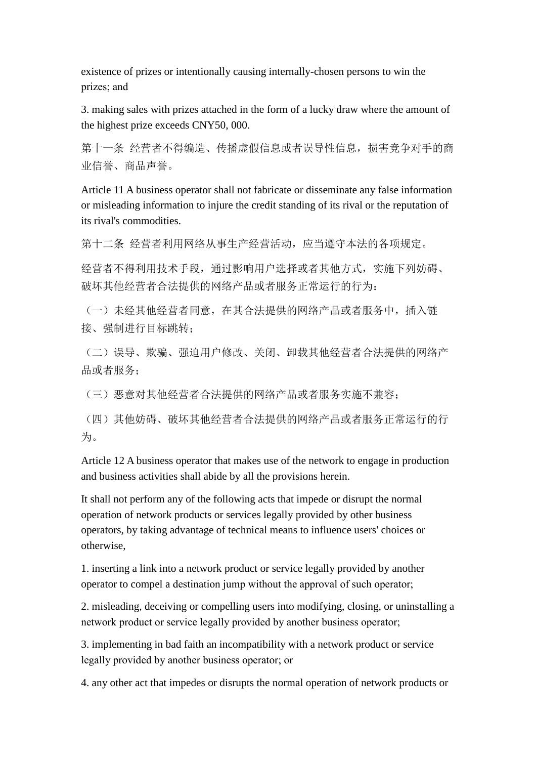existence of prizes or intentionally causing internally-chosen persons to win the prizes; and

3. making sales with prizes attached in the form of a lucky draw where the amount of the highest prize exceeds CNY50, 000.

第十一条 经营者不得编造、传播虚假信息或者误导性信息,损害竞争对手的商 业信誉、商品声誉。

Article 11 A business operator shall not fabricate or disseminate any false information or misleading information to injure the credit standing of its rival or the reputation of its rival's commodities.

第十二条 经营者利用网络从事生产经营活动,应当遵守本法的各项规定。

经营者不得利用技术手段,通过影响用户选择或者其他方式,实施下列妨碍、 破坏其他经营者合法提供的网络产品或者服务正常运行的行为:

(一)未经其他经营者同意,在其合法提供的网络产品或者服务中,插入链 接、强制进行目标跳转;

(二)误导、欺骗、强迫用户修改、关闭、卸载其他经营者合法提供的网络产 品或者服务;

(三)恶意对其他经营者合法提供的网络产品或者服务实施不兼容;

(四)其他妨碍、破坏其他经营者合法提供的网络产品或者服务正常运行的行 为。

Article 12 A business operator that makes use of the network to engage in production and business activities shall abide by all the provisions herein.

It shall not perform any of the following acts that impede or disrupt the normal operation of network products or services legally provided by other business operators, by taking advantage of technical means to influence users' choices or otherwise,

1. inserting a link into a network product or service legally provided by another operator to compel a destination jump without the approval of such operator;

2. misleading, deceiving or compelling users into modifying, closing, or uninstalling a network product or service legally provided by another business operator;

3. implementing in bad faith an incompatibility with a network product or service legally provided by another business operator; or

4. any other act that impedes or disrupts the normal operation of network products or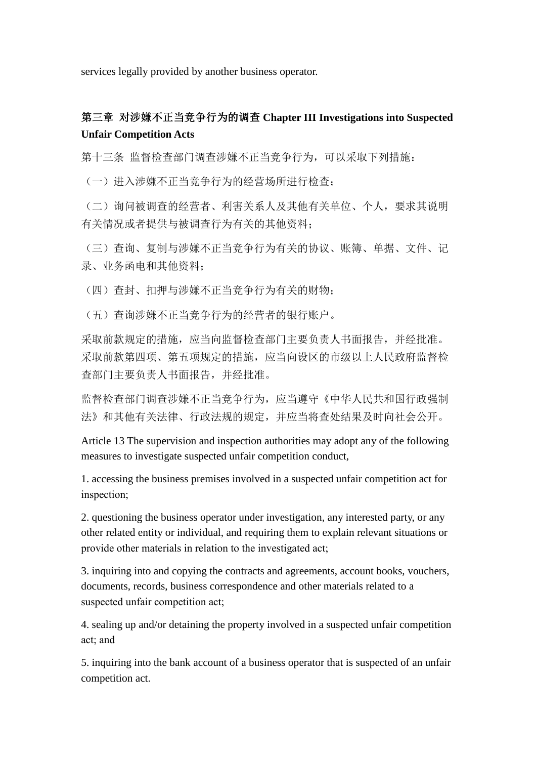services legally provided by another business operator.

## 第三章 对涉嫌不正当竞争行为的调查 **Chapter III Investigations into Suspected Unfair Competition Acts**

第十三条 监督检查部门调查涉嫌不正当竞争行为,可以采取下列措施:

(一)进入涉嫌不正当竞争行为的经营场所进行检查;

(二)询问被调查的经营者、利害关系人及其他有关单位、个人,要求其说明 有关情况或者提供与被调查行为有关的其他资料;

(三)查询、复制与涉嫌不正当竞争行为有关的协议、账簿、单据、文件、记 录、业务函电和其他资料;

(四)查封、扣押与涉嫌不正当竞争行为有关的财物;

(五)查询涉嫌不正当竞争行为的经营者的银行账户。

采取前款规定的措施,应当向监督检查部门主要负责人书面报告,并经批准。 采取前款第四项、第五项规定的措施,应当向设区的市级以上人民政府监督检 查部门主要负责人书面报告,并经批准。

监督检查部门调查涉嫌不正当竞争行为,应当遵守《中华人民共和国行政强制 法》和其他有关法律、行政法规的规定,并应当将查处结果及时向社会公开。

Article 13 The supervision and inspection authorities may adopt any of the following measures to investigate suspected unfair competition conduct,

1. accessing the business premises involved in a suspected unfair competition act for inspection;

2. questioning the business operator under investigation, any interested party, or any other related entity or individual, and requiring them to explain relevant situations or provide other materials in relation to the investigated act;

3. inquiring into and copying the contracts and agreements, account books, vouchers, documents, records, business correspondence and other materials related to a suspected unfair competition act;

4. sealing up and/or detaining the property involved in a suspected unfair competition act; and

5. inquiring into the bank account of a business operator that is suspected of an unfair competition act.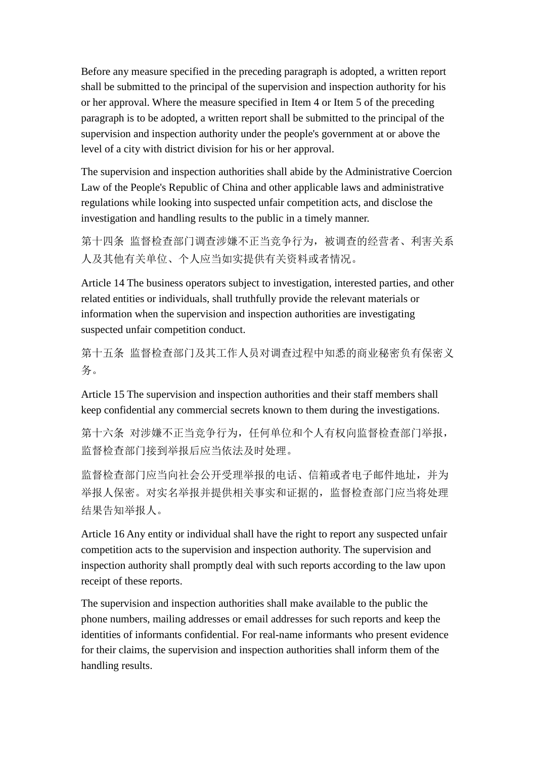Before any measure specified in the preceding paragraph is adopted, a written report shall be submitted to the principal of the supervision and inspection authority for his or her approval. Where the measure specified in Item 4 or Item 5 of the preceding paragraph is to be adopted, a written report shall be submitted to the principal of the supervision and inspection authority under the people's government at or above the level of a city with district division for his or her approval.

The supervision and inspection authorities shall abide by the Administrative Coercion Law of the People's Republic of China and other applicable laws and administrative regulations while looking into suspected unfair competition acts, and disclose the investigation and handling results to the public in a timely manner.

第十四条 监督检查部门调查涉嫌不正当竞争行为,被调查的经营者、利害关系 人及其他有关单位、个人应当如实提供有关资料或者情况。

Article 14 The business operators subject to investigation, interested parties, and other related entities or individuals, shall truthfully provide the relevant materials or information when the supervision and inspection authorities are investigating suspected unfair competition conduct.

第十五条 监督检查部门及其工作人员对调查过程中知悉的商业秘密负有保密义 务。

Article 15 The supervision and inspection authorities and their staff members shall keep confidential any commercial secrets known to them during the investigations.

第十六条 对涉嫌不正当竞争行为, 任何单位和个人有权向监督检查部门举报, 监督检查部门接到举报后应当依法及时处理。

监督检查部门应当向社会公开受理举报的电话、信箱或者电子邮件地址,并为 举报人保密。对实名举报并提供相关事实和证据的,监督检查部门应当将处理 结果告知举报人。

Article 16 Any entity or individual shall have the right to report any suspected unfair competition acts to the supervision and inspection authority. The supervision and inspection authority shall promptly deal with such reports according to the law upon receipt of these reports.

The supervision and inspection authorities shall make available to the public the phone numbers, mailing addresses or email addresses for such reports and keep the identities of informants confidential. For real-name informants who present evidence for their claims, the supervision and inspection authorities shall inform them of the handling results.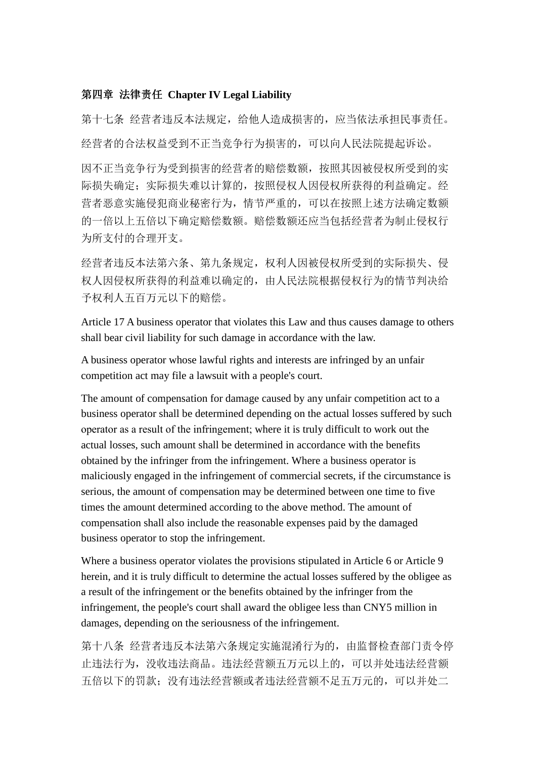#### 第四章 法律责任 **Chapter IV Legal Liability**

第十七条 经营者违反本法规定,给他人造成损害的,应当依法承担民事责任。 经营者的合法权益受到不正当竞争行为损害的,可以向人民法院提起诉讼。

因不正当竞争行为受到损害的经营者的赔偿数额,按照其因被侵权所受到的实 际损失确定;实际损失难以计算的,按照侵权人因侵权所获得的利益确定。经 营者恶意实施侵犯商业秘密行为,情节严重的,可以在按照上述方法确定数额 的一倍以上五倍以下确定赔偿数额。赔偿数额还应当包括经营者为制止侵权行 为所支付的合理开支。

经营者违反本法第六条、第九条规定,权利人因被侵权所受到的实际损失、侵 权人因侵权所获得的利益难以确定的,由人民法院根据侵权行为的情节判决给 予权利人五百万元以下的赔偿。

Article 17 A business operator that violates this Law and thus causes damage to others shall bear civil liability for such damage in accordance with the law.

A business operator whose lawful rights and interests are infringed by an unfair competition act may file a lawsuit with a people's court.

The amount of compensation for damage caused by any unfair competition act to a business operator shall be determined depending on the actual losses suffered by such operator as a result of the infringement; where it is truly difficult to work out the actual losses, such amount shall be determined in accordance with the benefits obtained by the infringer from the infringement. Where a business operator is maliciously engaged in the infringement of commercial secrets, if the circumstance is serious, the amount of compensation may be determined between one time to five times the amount determined according to the above method. The amount of compensation shall also include the reasonable expenses paid by the damaged business operator to stop the infringement.

Where a business operator violates the provisions stipulated in Article 6 or Article 9 herein, and it is truly difficult to determine the actual losses suffered by the obligee as a result of the infringement or the benefits obtained by the infringer from the infringement, the people's court shall award the obligee less than CNY5 million in damages, depending on the seriousness of the infringement.

第十八条 经营者违反本法第六条规定实施混淆行为的,由监督检查部门责令停 止违法行为,没收违法商品。违法经营额五万元以上的,可以并处违法经营额 五倍以下的罚款;没有违法经营额或者违法经营额不足五万元的,可以并处二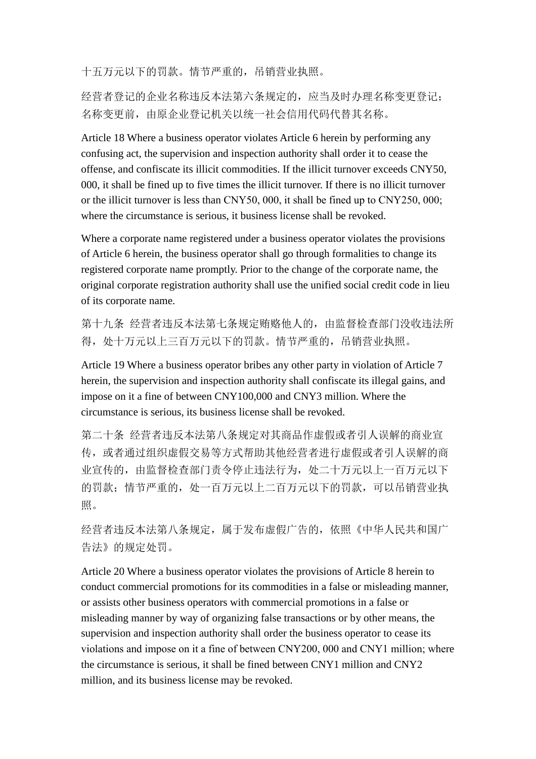十五万元以下的罚款。情节严重的,吊销营业执照。

经营者登记的企业名称违反本法第六条规定的,应当及时办理名称变更登记; 名称变更前,由原企业登记机关以统一社会信用代码代替其名称。

Article 18 Where a business operator violates Article 6 herein by performing any confusing act, the supervision and inspection authority shall order it to cease the offense, and confiscate its illicit commodities. If the illicit turnover exceeds CNY50, 000, it shall be fined up to five times the illicit turnover. If there is no illicit turnover or the illicit turnover is less than CNY50, 000, it shall be fined up to CNY250, 000; where the circumstance is serious, it business license shall be revoked.

Where a corporate name registered under a business operator violates the provisions of Article 6 herein, the business operator shall go through formalities to change its registered corporate name promptly. Prior to the change of the corporate name, the original corporate registration authority shall use the unified social credit code in lieu of its corporate name.

第十九条 经营者违反本法第七条规定贿赂他人的,由监督检查部门没收违法所 得, 处十万元以上三百万元以下的罚款。情节严重的, 吊销营业执照。

Article 19 Where a business operator bribes any other party in violation of Article 7 herein, the supervision and inspection authority shall confiscate its illegal gains, and impose on it a fine of between CNY100,000 and CNY3 million. Where the circumstance is serious, its business license shall be revoked.

第二十条 经营者违反本法第八条规定对其商品作虚假或者引人误解的商业宣 传,或者通过组织虚假交易等方式帮助其他经营者进行虚假或者引人误解的商 业宣传的,由监督检查部门责令停止违法行为,处二十万元以上一百万元以下 的罚款;情节严重的,处一百万元以上二百万元以下的罚款,可以吊销营业执 照。

经营者违反本法第八条规定,属于发布虚假广告的,依照《中华人民共和国广 告法》的规定处罚。

Article 20 Where a business operator violates the provisions of Article 8 herein to conduct commercial promotions for its commodities in a false or misleading manner, or assists other business operators with commercial promotions in a false or misleading manner by way of organizing false transactions or by other means, the supervision and inspection authority shall order the business operator to cease its violations and impose on it a fine of between CNY200, 000 and CNY1 million; where the circumstance is serious, it shall be fined between CNY1 million and CNY2 million, and its business license may be revoked.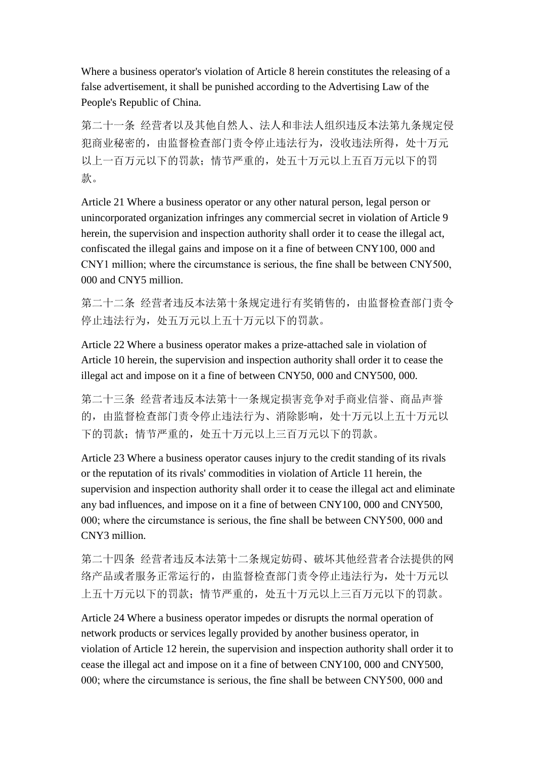Where a business operator's violation of Article 8 herein constitutes the releasing of a false advertisement, it shall be punished according to the Advertising Law of the People's Republic of China.

第二十一条 经营者以及其他自然人、法人和非法人组织违反本法第九条规定侵 犯商业秘密的,由监督检查部门责令停止违法行为,没收违法所得,处十万元 以上一百万元以下的罚款;情节严重的,处五十万元以上五百万元以下的罚 款。

Article 21 Where a business operator or any other natural person, legal person or unincorporated organization infringes any commercial secret in violation of Article 9 herein, the supervision and inspection authority shall order it to cease the illegal act, confiscated the illegal gains and impose on it a fine of between CNY100, 000 and CNY1 million; where the circumstance is serious, the fine shall be between CNY500, 000 and CNY5 million.

第二十二条 经营者违反本法第十条规定进行有奖销售的, 由监督检查部门责令 停止违法行为,处五万元以上五十万元以下的罚款。

Article 22 Where a business operator makes a prize-attached sale in violation of Article 10 herein, the supervision and inspection authority shall order it to cease the illegal act and impose on it a fine of between CNY50, 000 and CNY500, 000.

第二十三条 经营者违反本法第十一条规定损害竞争对手商业信誉、商品声誉 的,由监督检查部门责令停止违法行为、消除影响,处十万元以上五十万元以 下的罚款;情节严重的,处五十万元以上三百万元以下的罚款。

Article 23 Where a business operator causes injury to the credit standing of its rivals or the reputation of its rivals' commodities in violation of Article 11 herein, the supervision and inspection authority shall order it to cease the illegal act and eliminate any bad influences, and impose on it a fine of between CNY100, 000 and CNY500, 000; where the circumstance is serious, the fine shall be between CNY500, 000 and CNY3 million.

第二十四条 经营者违反本法第十二条规定妨碍、破坏其他经营者合法提供的网 络产品或者服务正常运行的,由监督检查部门责令停止违法行为,处十万元以 上五十万元以下的罚款;情节严重的,处五十万元以上三百万元以下的罚款。

Article 24 Where a business operator impedes or disrupts the normal operation of network products or services legally provided by another business operator, in violation of Article 12 herein, the supervision and inspection authority shall order it to cease the illegal act and impose on it a fine of between CNY100, 000 and CNY500, 000; where the circumstance is serious, the fine shall be between CNY500, 000 and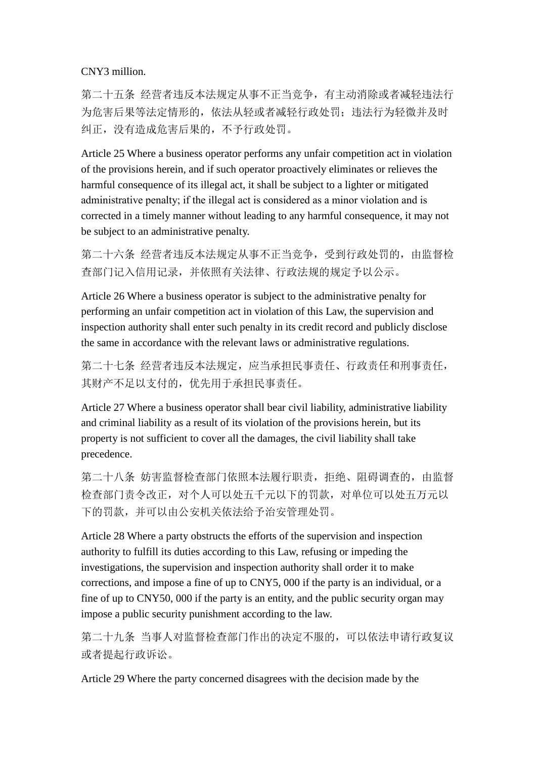CNY3 million.

第二十五条 经营者违反本法规定从事不正当竞争,有主动消除或者减轻违法行 为危害后果等法定情形的,依法从轻或者减轻行政处罚;违法行为轻微并及时 纠正,没有造成危害后果的,不予行政处罚。

Article 25 Where a business operator performs any unfair competition act in violation of the provisions herein, and if such operator proactively eliminates or relieves the harmful consequence of its illegal act, it shall be subject to a lighter or mitigated administrative penalty; if the illegal act is considered as a minor violation and is corrected in a timely manner without leading to any harmful consequence, it may not be subject to an administrative penalty.

第二十六条 经营者违反本法规定从事不正当竞争,受到行政处罚的,由监督检 查部门记入信用记录,并依照有关法律、行政法规的规定予以公示。

Article 26 Where a business operator is subject to the administrative penalty for performing an unfair competition act in violation of this Law, the supervision and inspection authority shall enter such penalty in its credit record and publicly disclose the same in accordance with the relevant laws or administrative regulations.

第二十七条 经营者违反本法规定,应当承担民事责任、行政责任和刑事责任, 其财产不足以支付的,优先用于承担民事责任。

Article 27 Where a business operator shall bear civil liability, administrative liability and criminal liability as a result of its violation of the provisions herein, but its property is not sufficient to cover all the damages, the civil liability shall take precedence.

第二十八条 妨害监督检查部门依照本法履行职责, 拒绝、阻碍调查的, 由监督 检查部门责令改正,对个人可以处五千元以下的罚款,对单位可以处五万元以 下的罚款,并可以由公安机关依法给予治安管理处罚。

Article 28 Where a party obstructs the efforts of the supervision and inspection authority to fulfill its duties according to this Law, refusing or impeding the investigations, the supervision and inspection authority shall order it to make corrections, and impose a fine of up to CNY5, 000 if the party is an individual, or a fine of up to CNY50, 000 if the party is an entity, and the public security organ may impose a public security punishment according to the law.

第二十九条 当事人对监督检查部门作出的决定不服的,可以依法申请行政复议 或者提起行政诉讼。

Article 29 Where the party concerned disagrees with the decision made by the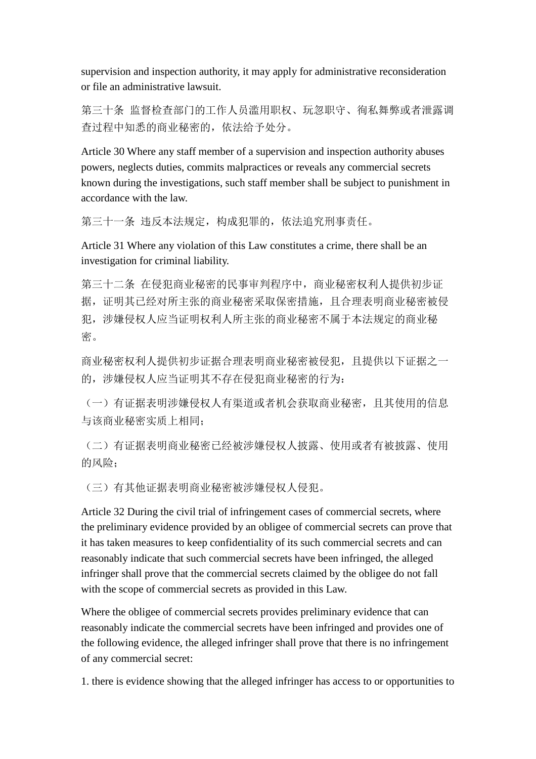supervision and inspection authority, it may apply for administrative reconsideration or file an administrative lawsuit.

第三十条 监督检查部门的工作人员滥用职权、玩忽职守、徇私舞弊或者泄露调 查过程中知悉的商业秘密的,依法给予处分。

Article 30 Where any staff member of a supervision and inspection authority abuses powers, neglects duties, commits malpractices or reveals any commercial secrets known during the investigations, such staff member shall be subject to punishment in accordance with the law.

第三十一条 违反本法规定,构成犯罪的,依法追究刑事责任。

Article 31 Where any violation of this Law constitutes a crime, there shall be an investigation for criminal liability.

第三十二条 在侵犯商业秘密的民事审判程序中,商业秘密权利人提供初步证 据,证明其已经对所主张的商业秘密采取保密措施,且合理表明商业秘密被侵 犯,涉嫌侵权人应当证明权利人所主张的商业秘密不属于本法规定的商业秘 密。

商业秘密权利人提供初步证据合理表明商业秘密被侵犯,且提供以下证据之一 的,涉嫌侵权人应当证明其不存在侵犯商业秘密的行为:

(一)有证据表明涉嫌侵权人有渠道或者机会获取商业秘密,且其使用的信息 与该商业秘密实质上相同;

(二)有证据表明商业秘密已经被涉嫌侵权人披露、使用或者有被披露、使用 的风险:

(三)有其他证据表明商业秘密被涉嫌侵权人侵犯。

Article 32 During the civil trial of infringement cases of commercial secrets, where the preliminary evidence provided by an obligee of commercial secrets can prove that it has taken measures to keep confidentiality of its such commercial secrets and can reasonably indicate that such commercial secrets have been infringed, the alleged infringer shall prove that the commercial secrets claimed by the obligee do not fall with the scope of commercial secrets as provided in this Law.

Where the obligee of commercial secrets provides preliminary evidence that can reasonably indicate the commercial secrets have been infringed and provides one of the following evidence, the alleged infringer shall prove that there is no infringement of any commercial secret:

1. there is evidence showing that the alleged infringer has access to or opportunities to